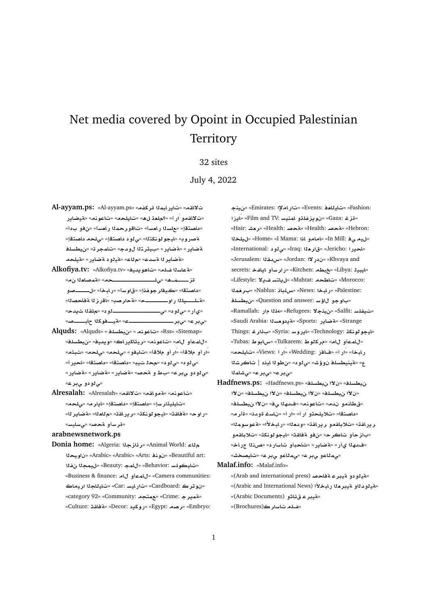# Net media covered by Opoint in Occupied Palestinian **Territory**

# 32 sites

July 4, 2022

- **Al-ayyam.ps:** «Al-ayyam.ps» «**fkr mbAC§A**» «**qA¯** «ت'لااقمو اَر آ» «؟ملعة ل&» «تايلحه» «تاعونه» «قيضادر «داصتقإ» «علسنا ر.ا*مس*أ» «تاقو رحمنا ر.ا*مس*أ» «ن.فو ب.دأ» ة صروب» «ليجو لونكتله» «ي لو د داصتقإ» «يلحه داصتقإ» **lsWy**» «**rmA**» «**d¤ try** » «**C§ART**» «**C§ART** «**لقضاير ل**القسدع» «م<sup>1</sup>اع» «قيلود لقضاير» «لقيلحهـ
- **Alkofiya.tv:** «Alkofiya.tv» «**yd§w¡A**» «**l sAT**» « **`A}mT**» «**þþþþþþþþþþþþþþþl¨**» «**¡þmþþþþz** «**داصتقا» «ڪيفار جو غذا» «ق**او سـأ» «ر ابـخـأ» «ل\_\_\_\_\_صو «ه<del>لمسل</del>دلال والمستسلسة» «هجار صد» «اقراز لا هفاجصدلا» «**d§ ql**» « **¤þþþþþþþþþþþþþþþþþ¨**» « **¤¨**» «**C©**» «**}þþþþbA kwþþyT**» «**þþþþþþþþþþþþþþþþr¨**» «**r¨**»
- **Alquds:** «Alquds» « **lsWy**» « **nwA**» «Rss» «Sitemap» «**lsWy**» «**yd§w**» «**AC§kAyr**» «**nwA**» «**A ¤mA**» «ار أو ملاقأ» «ار أو ملاقأ» «تايفو» «<sub>كا</sub>لحه» «<sub>كا</sub>لحه» «تبثه» «ى لو د» «ى لو د» «محذ ت يب» «داصتقا» «داصتقا» «احير أ» «مئ لو دو مي بر ع» «باط و لقحصه «لقضاير» «لقضاير» «*تي لودو پ بر ع»*
- **Alresalah:** «Alresalah» «**qA¯**» «**qA¤T**» «**nwA**» «تايليذار سإ» «داصتقإ» «داصتقإ» «ايار م» «<sub>ص</sub>لحم» «**r§ART**» «**`A**» «**qAC§r**» «**knwwyA**» «**qAT**» «**wC**» «<mark>قر سأو ةحص</mark>» «ي سايس»

#### **arabnewsnetwork.ps**

**Donia home:** «Algeria: **z¶r**» «Animal World: **A yw** » «Arabic» «Arabic» «Arts: **nw** » «Beautiful art: **f my**» «Beauty: **mA**» «Behavior: **FlwyA**» «Business & finance: **A ¤mA**» «Camera communities: **Ayr AyA**» «Car: **FyAC**» «Cardboard: **rw** » «category 92» «Community: **tm**» «Crime: **r§mT**» «Culture: **qAT**» «Decor: **§kwC**» «Egypt: **Or**» «Embryo:

**ny**» «Emirates: **³AC**» «Events: **`AyA**» «Fashion: **E§AÁ**» «Film and TV: **FynmA ¤lfz§w** » «Gaza: **z**» «Hair: **J`r**» «Health: **}T**» «Health: **}T**» «Hebron: **ly**» «Home» «I Mama: **A ¤AA**» «In Mill: **¨ y**» «International: «قارمة «Iraq: 1» «قارمة» «Jerusalem: **qdx**» «Jordan: **¯C** » «Khvaya and secrets: **fA§A ¤FrC**» «Kitchen: **Wb**» «Libya: **ybyA**» «Lifestyle: **¯§ FtA§**» «Mahtat: **WA**» «Morocco: **mr** » «Nablus: **AlH**» «News: **bAC**» «Palestine: **lsWy**» «Question and answer: **F¥ ¤w** » «Ramallah: «تيفلسة Salfit: «نيثجلا» «Refugees: <mark>3»</mark> «Saudi Arabia: **s`w §T**» «Sports: **C§ART**» «Strange Things: **r¶** » «Syria: **FwC§A**» «Technology: **knwwyA**» «Tubas: **VwAx**» «Tulkarem: **Vwkr**» «**A ¤mA**» «**lyA**» «Views: **CÁ**» «Wedding: **EA**» «**CÁ**» «**bAC KrA** | **yA wV**» « **¤¨**» «**J¥¤ lsWynyT**» « **mAJ¨**» «**r¨**» «**r¨**»

- **Hadfnews.ps:** «Hadfnews.ps» «**lsWy µ** » «**lsWy µ** » «**lsWy µ** » «**lsWy µ** » «**lsWy µ** » «قطانمو ندم» «تاعونم» «فدهلا ي<sup>ف» «ن</sup>لاًا نيطسلف» «داصتقا» «تلايلحتو اَر آ» «اَر آ» «ناسف قودنه «قأر مه «**mwFwT**» «**±bAC**» «**`d¤**» «**qAC§r ¤qA®**» «**qAC§r** «باز حـأو تـاكر ح» «نفو ة فاقـث» «ليجو لو نكـت» «تلا باقـمـو «فدهلا ىأر» «**تضاير» «ثاحبأو تاسارد» «صن**لا جراخه «*م*هلاعو يبرع» «<sub>مه</sub>ملاعو يبرع» «تايصخش»
- **Malaf.info:** «Malaf.info»

«ه**يدودو ميبر عمة فاحص** (Arab and international press)» «ته**دودن**او تميبرمنا رابخلاًا (Arabic and International News)» «قي**در ع**ـق ئـاثـو (Arabic Documents)» «هنا**له تاسار ك**(Brochures)»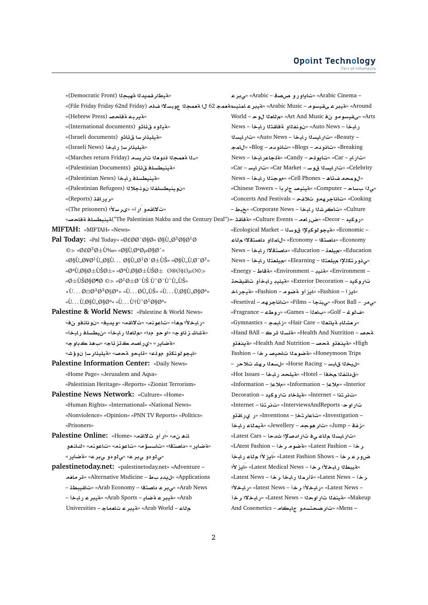«قيطار قميدلا ةهبجلا (Democratic Front)» – Arabic Cinema» «تاياورو صصق – Arabic» «صبر ع Around» «قيبر عـىقيسوم – Arabic Music» «قيبر عـامنيسـ«قعمـجـ 62 ل1 قعمـجـ11 عوبسـلا1 ضلم (File Friday Friday 62nd Friday)» «قيربه ةفاحص (Hebrew Press)» Morld - حي تقيسو مو بن في Art And Music «م للعذا ل و حـ – World «قيلود ق ئاثو (International documents)» رابخأ – Auto News» «نونفذاو مقامتذا رابخأ – News «قيليذار سا ق ئاثو (Israeli documents) – Beauty» «تارايسلا رابخة – Auto News» «تارايسلا «مقبليدًا وسار لمخا (Israeli News)» Breaking» «تيانو مام – Blogs» «تيانو مام – Blog» «بالمح «\_لا مقعجلا قدو دلا تار يسم (Marches return Friday)» «تار ايـ – Car» «تبايو لمحـ – Candy» «قلجاعر ابوذا – News «قينيطسلف ق ئاثو (Palestinian Documents)» Celebrity» «تار ایسدا قوید – Car Market» «تار ایسد – Car» «قينيطسلف رابخا (Palestinian News)» «لومحه فتاه – Cell Phones» «موجنلا رابخاً – News «نوينيطسلفلا نوئجلالا (Palestinian Refugees)» «می 11 ب ساح – Computer» «تمينيصد ج ار بهٔ – Chinese Towers» «رير اقة (Reports)» Cooking» «تاناجر همو تلافح - Concerts And Festivals» «تلااقمو ار آ» «ىرسلاًا (The prisoners)» Culture» «تاكرشةا رابخة – Corporate News» «جُبط» «روكيد – Decor» «ضرراهـم – Culture Events» «مةفاقـدٌ →«Culture Events» و The Palestinian Nakba and the Century Deal")،تينيطسلـف م فاحصه MIFTAH: «MIFTAH» «News» – Economic» «قيجو لوكدلاا قوسلا – Ecological Market» Pal Today: «Pal Today» «Ø£ØØ<sup>-</sup>اØ« اÙ"Ø<sup>3</sup>اØ<sup>1</sup>Ø Economy - «داصتقا – Economy» «للمذاو داصتقلاا م لاء  $\circ$  « $\emptyset$ £ $\emptyset$ <sup>3</sup> $\emptyset$ ±Ù‱ « $\emptyset$ §Ù, $\emptyset$ <sup>a</sup> $\emptyset$ µ $\emptyset$ § $\emptyset$ <sup>-</sup>» Education» «مملعة – Education» «داصتقلال المخذ – News  $\mathscr{A}$ §Ù, Ø¥Ø<sup>1</sup>Ù, اÙ, ... اÙ, Ø<sup>1</sup>Ø"رÙŠ»  $\mathscr{A}$ §Ù, Ù,Ø<sup>-</sup>Ø<sup>3</sup>» «من ذو رتكللا) متلعتلا – Elearning» «متلعتلا رامخة – News «ØªÙ.ارير» «ØªÙ.ارير خاصØ©» – Environment» «تمثيد – Environment» «قاط – Energy» «Ø±ÙŠØ§Ø¶Ø ©» «Ø<sup>1</sup>ربÙŠ Ù^Ø<sup>-</sup>Ù^Ù"ÙŠ» تاروكيد – Exterior Decoration» «مقيئيد رابخأو تالقيقحة «Ù...Ø $\boxtimes$ Ø $^{3}$ Ø $^{3}$ اØ $^{a}$ » «Ù...ØÙ"ÙŠ» «Ù...Ù,اÙ"اØ $^{a}$ » «ايزi – Fashion» «ايزاو ةضوم – Fashion» «ةيجراخ «Ù...Ù,اÙ,,ات» «Ù...Ù†Ù^Ø<sup>1</sup>ات» «قاناجرھە- Foot Ball» «يېنجا - Films» «تاناجرھە- Fesetival» Palestine & World News: «Palestine & World News» «ف لو غ – Golf» «بام لفت – Games» «ر و طء – Fragrance» «ر ابخلأا مها» «تاعونه» «تلااقه» «و بديك» «نو نانفو ان فه» «در مشلاد ةباندلا – Hair Care» «ز ابمج – Gymnastics» «مقشاشـز ئاوج» «اوحو مدا» «ملاعلا رايخاً» «ن يطسلف رايخاً» نقحصه - Health And Nutrition» «مقلسلا قرك - Hand BAll» «مةضاير» «ي راصه ڪڌزئاج» «ب هذ ڪڊاو جه High» «قىنغقە قحصە – Health And Nutrition» «قىنغقە» «ايجو لونكڌو مولم» «ةايحو متحصه «متيليذار سإ نوؤشه Honeymoon Trips» «تمنومة اتاحيصر خ آ - Fashion Palestine Information Center: «Daily News» «ل يخلا قابس – Horse Racing» «ل سعاد ر هشت لاحر – «Home Page» «Jerusalem and Aqsa» «ق دانفـلـا م خـفـأ – Hotel» «مقيلحـمـــر ابـخـأ – Hot Issues» «Palestinian Heritage» «Reports» «Zionist Terrorism» Information – «ملاعا – Information» «ملاعا – Information» Palestine News Network: «Culture» «Home» «تنزيتنا - Internet» «قيلخاد تاروكيد - Decoration «Human Rights» «International» «National News» تار او ح- InterviewsAndReports» «تفر تذا – Internet» «Nonviolence» «Opinion» «PNN TV Reports» «Politics» – Investigation» «تاعار تخل – Inventions» «ر. ى رافقو «Prisoners» «ذ فة – Jump» «تار هو حه – Jewellery» «قيمثاء رايخا Palestine Online: «Home» «ار آو ت لااقعه» «Palestine Online: «تارايسنا مِناء ي في تار ادصلاًا شدجاً – Latest Cars» «ةضاير» «داصتقا» «تاسسؤم» «تاعونم» «تاعونم» «كانهو ر خ آ – Latest Fashion» «تم ضو م ر خ آ – LAtest Fashion» ضوء ع د خا - Latest Fashion Shows» «ادز لأا م لاء ر ابخا «ي لو دو ي بر ع» «ي لو دو ي بر ع» «ة ضاير » palestinetoday.net: «palestinetoday.net» «Adventure -«مقيبطنا رابخلاًا رخآ – Latest Medical News» «ايزلاًا Applications» «ل بدد ساط – Alternative Msdicine» «قد مافه «Latest News – آد هذا ريدا البخا رخة – Latest News» Arab News» «بى در عداصتة! – Arab Economy» «تاقسطة – – Latest News» «بالمخلأا رخآ – latest News» «رالمخلأا Arab «Arab Sports – «قيبر عربخة» «Arab Sports – » Makeup» «مقينفذا تار اوحذا – Latest News» «رابخلاا رخآ م لاء – Arab World» «هيبر ع تامماج – Universities - Mens» «تار ضحتسمو جايكام - And Cosemetics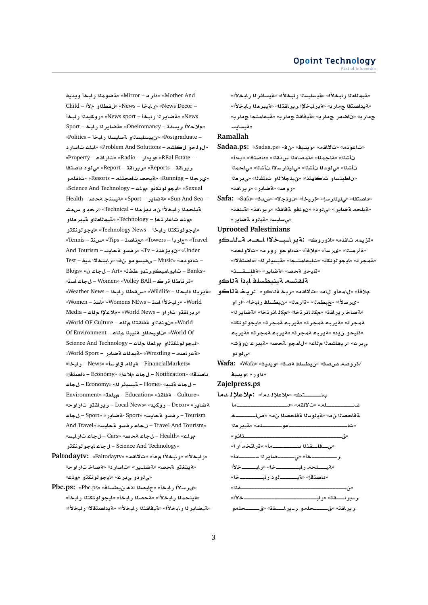**yd§w bAC mwRT**» «Mirror – **r**» «Mother And Child – **± ¤Wf**» «News – **bAC**» «News Decor – **bAC d§kwC**» «News sport – **bAC r§ART**» «News Sport – **bAC r§ART**» «Oneiromancy – **fsyr ±®**» – Postgraduate» «ن**ييسايسال**او a<sup>س</sup>ايسالا رابخة – Politics»  **CFA lyA**» «Problem And Solutions – **KA ¤lw**» «Property – **qAC**» «Radio – **C §w**» «REal Estate – **tOA ¤¨**» «Report – **qAC§r**» «Reports – **qAC§r ¤lfA**» «Resorts – **nt`A }yT**» «Running – **r©**» «Science And Technology – **lw ¤knwwyA**» «Sexual Health – **}T nsyT**» «Sport – **C§ART**» «Sun And Sea – قيلحملا ر**ابخلأا ن**ه ديزملا – Technical» «رحدٍ و س&شـ مولم تاعار تخإ – Technology «مقيم**نامن**او مقير مناو «ايجو لونكتلا ر ابخأ – Technology News» «ايجو لونكتو «Tennis – **nH**» «Tips – **OA¶**» «Towers – **r**» «Travel And Tourism – **FyAT ¤Ffr**» «Tv – **lfz§w** » «Under Test – **yd ¯tbAC**» « **¤wFyqY** – Music» «**d¤A** – Blogs» « **A** – Art» «**fX ¤tr¤ymA¤§A** – Banks» «قر ئاطلا قرك – Women» «Volley BAll – ل**جاء** اسنه» «**Weather News** – الاستقطاد الله بالمجموعة الاستقامة السلامة السلامة السلامة السلامة السلامة السلامة السلامة ال «Women – **sAÁ**» «Womens NEws – **sAÁ ±bAC**» «World «در در اقتو تار او - World News» «ملاعلا ه اعد «World OF Culture – **A qAT ¤fnw** » «World Of Environment – **A by·T ¤yw** » «World Of science And Technology – «المجولات عليه تكتلاو مولعلا م<sup>1</sup>له «**Vand Sport – جةيمناء ةضاير - World Sport**» «FinancialMarkets – **تينام ق او س**أ» «News – ربابخاً» « داصتقا» «Notification – ل جاء ملا عل<sup>ي</sup> «Economy – داصتقل» **A** – Economy» «**r¶ysyT** – Home» «**y·T A** – Environment» «**`ly** – Education» «**qAT** – Culture» «**wC ¤qAC§r** – Local News» « **§kwC** – Decor» «**C§ART A** – Sport» «**C§ART**- Sport» «**FyAT ¤Ffr** – Tourism And Travel» «**FyAT ¤Ffr A** – Travel And Tourism» «**FyAC A** – Cars» «**}T A** – Health» «**lw ¤knwwyA A** – Science And Technology»

- **Paltodaytv:** «Paltodaytv» «**qA¯**» «**¡ ±bAC**» «**±bAC**» «**قينغڌو قحص» «قضا\_پر » «تاسار د» «قصاخ** تار أوحه «**س**لودو لى بر ع» «ايجو لونكڌو مولك»
- **Pbc.ps:** «Pbc.ps» «**lsWy ¡@ ObA**» «**bAC ±Fr«**» «**فيلحم**نا رابخلأا» «فحصنا رابخأ» «ليجو لونكتنا رابخأ» «لميضاير 1ا رابخلأا» «فيفاقتثا رابخلأا» «فيداصتقلاا رابخلأا»

«**لقيمللغل**ا رابخلأا» «لقيسايسلا رابخلأا» «لقيسائر لـا رابخلأا» «**فيداصتقا جماري» «قيرابخلإا ريرافت**نا» «قيبرهنا رابخلأا» «**r tmAyT**» «**r qAyT**» «**r CSA** » «**r FyAFyT**»

## **Ramallah**

- **Sadaa.ps:** «Sadaa.ps» «» «**yd§w**» «**qA¯**» «**nwA**» نأشلك «مقلجملك» «مقصلعلللس مقلك» «داصتقل» «بدأ» نأشذا» «ي لو د لـا نأشذا» «يليذار سلاا نأشذا» «يلحمذا «ناطيتساو تاكاهتذا» «نيئجلال**او تاتشل**ا» «ىبر دلا «روص» «**ةضاير» «ريراقت**»
- **Safa:** «Safa» «**dx**» «**¯·w** » «**yr**» «**Fr¶yl¨**» «**tOA** » «مقيلحه مقصاير» «ي لود» «نونفو مقفاقت» «ريرافق» «مقينقق» «*مىسليس*» «¤يلود ¤ضاير»

**Uprooted Palestinians**

«قزيمه تافله» «انوروك» :ةيرا**ـبــخلاا اــعـــم ةــ**لــكو «**A¤¯**» «**r¤C ¤w** » «**®**» «**Fr«**» «**þmr**» «همجرته «ايجو لونكة» «تايعامتـجا» «**ميسيئر ل**ا» «داصتقلاا» «قليحو مجصه «مقاير» «مقاتــقـــث»

¤لقت*سم* ¤ينيطسل**ف** ابذأ ¤للكو

ملاقأ» «للمعأو للله» «تلالقم» «ربخـة للكو» :ربخـة **ل**اكو «ىر سلاًا» «خبطمـلاا» «ةأرـمـلاا» «نيطسلـفـر ابـخـأ» «َار آو «**بةصاخ ر در اقت» «مك**ل انر تخا» «مكل انر تخا» «**بقضادر ل**ه» «**knwwyA**» «**rmT br§T**» «**rmT br§T**» «**rmT** «قليحو ن2ٍ» «قيربط قمجرت<sup>» «</sup>قيربط قمجرت<sup>» «</sup>قيربط «**J¥¤ ryT**» «**}T ¤mA**» «**A mKA¡yr**» «**r¨** «*د د*و دو

**Wafa:** «Wafa» «**yd§w**» «**OT lsWy**» «**OP OwC**/ «داو ر» «و بدي<u>د</u>

#### **Zajelpress.ps**

- باــــــــتك» «ملاعلإل<sub>ـلمغا</sub>» **:ملاعلإلـ**مقا
	- **þþþþþþþþþþþþþþþþþþd**» «**qA¯**» «**lþþþþþþþþþþ þþþþþþþAQ**» « **OAT d¤yT**» « **OAT `ryT**» «**nþþþþþþþwþþþþþþþþþþþþþþþþþþþþþA**» «ق<del>\_\_\_\_\_\_\_\_\_\_\_\_\_\_\_\_\_\_\_\_\_\_\_\_\_\_\_\_\_\_\_\_\_\_\_</del>ئاثو » «**CÁ tAC**» «**þþþþþþþþþd qþþAþþ¨**» «**þþþþþþd r§ARþþþþþþ¨**» «**þþþþþþþþþr** «قيــــلحه رابـــــــــخة» «رابـــــــخلأا «**þþþþþþþþbAC ¤þþþþþþyT**» «**tOA** » «**b**هل المستقرى المصدر المستقرى المصدر المصدر المصدر المصدر المصدر المصدر المصدر المصدر المصدر المصدر المصدر ال «**±þþþþþþþþþþþþþþþþþþþþþþþþþþbAC**» «**qþþþAC§þr** ر براقة» «قــــــحلمو ر\_براــــقة» «ق*ــــــحلم*و